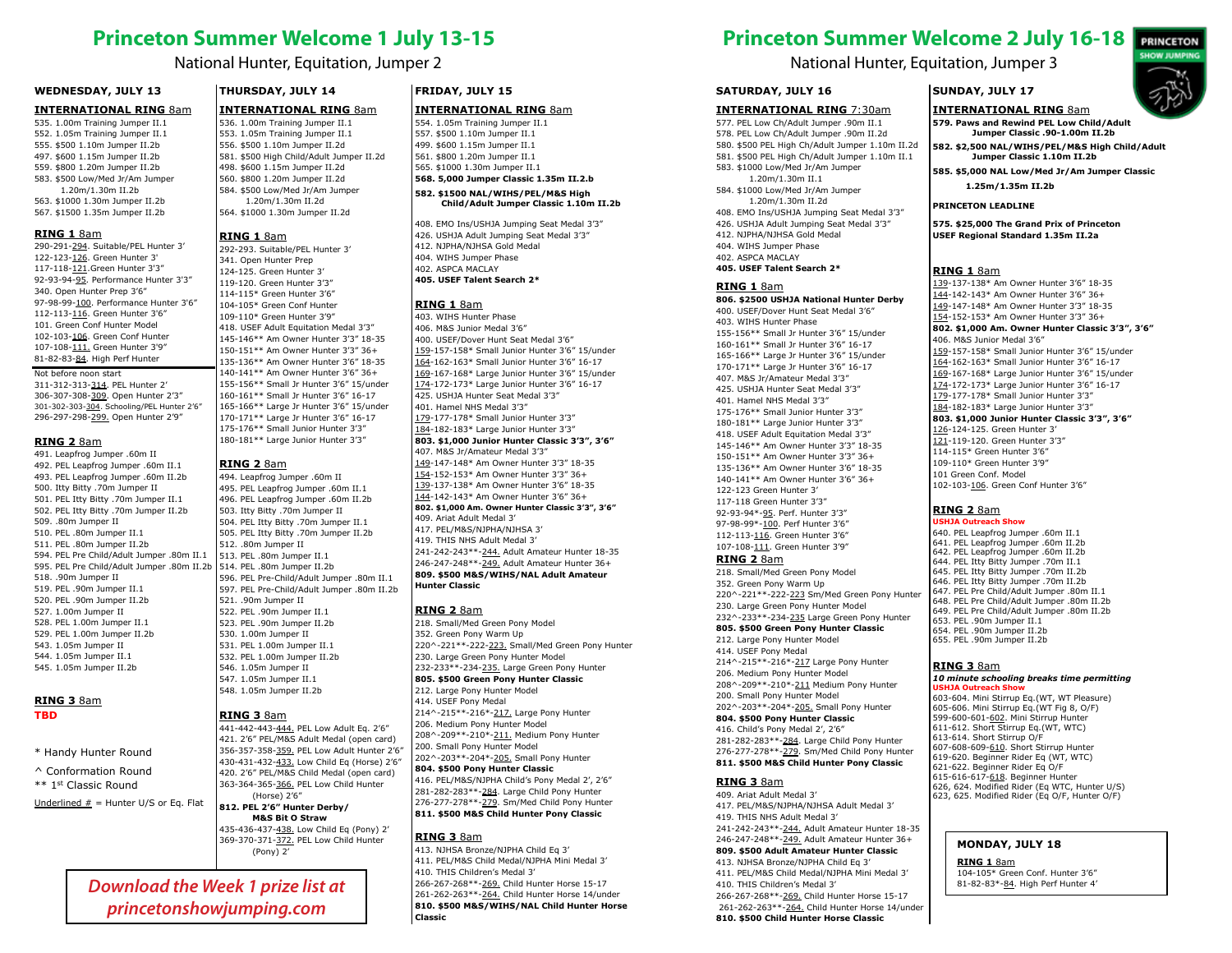# **Princeton Summer Welcome 1 July 13-15**

# National Hunter, Equitation, Jumper 2

### **WEDNESDAY, JULY 13 WEDNESDAY, JULY 13**

# **INTERNATIONAL RING** 8am **INTERNATIONAL RING** 8am

535. 1.00m Training Jumper II.1 535. 1.00m Training Jumper II.1 552. 1.05m Training Jumper II.1 552. 1.05m Training Jumper II.1 555. \$500 1.10m Jumper II.2b 555. \$500 1.10m Jumper II.2b 497. \$600 1.15m Jumper II.2b 497. \$600 1.15m Jumper II.2b 559. \$800 1.20m Jumper II.2b 559. \$800 1.20m Jumper II.2b 583. \$500 Low/Med Jr/Am Jumper 583. \$500 Low/Med Jr/Am Jumper 1.20m/1.30m II.2b 563. \$1000 1.30m Jumper II.2b 563. \$1000 1.30m Jumper II.2b  $\mathbf b$ 

567. \$1500 1.35m Jumper II.2b 567. \$1500 1.35m Jumper II.2b

# **RING 1** 8am

**RING 1** 8am<br>290-291-294. Suitable/PEL Hunter 3' 297-293 122-123-126. Green Hunter 3' 122-123-126. Green Hunter 3' 117-118-121.Green Hunter 3'3" 117-118-121.Green Hunter 3'3" 92-93-94-<u>95</u>. Performance Hunter 3'3" | 119-120 G 340. Open Hunter Prep 3'6" 340. Open Hunter Prep 3'6" 97-98-99-<u>100</u>. Performance Hunter 3'6" | 104-105\* Gr 112-113-116. Green Hunter 3'6" | 109-1 101. Green Conf Hunter Model 101. Green Conf Hunter Model 102-103-106. Green Conf Hunter 102-103-106. Green Conf Hunter 107-108-111. Green Hunter 3'9" 107-108-111. Green Hunter 3'9" 81-82-83-84. High Perf Hunter 81-82-83-84. High Perf Hunter Not before noon start Not before noon start

311-312-313-314. PEL Hunter 2' 311-312-313-314. PEL Hunter 2' 306-307-308-309. Open Hunter 2'3" 306-307-308-309. Open Hunter 2'3" 301-302-303-304. Schooling/PEL Hunter 2'6" 301-302-303-304. Schooling/PEL Hunter 2'6" 296-297-298-299. Open Hunter 2'9" 296-297-298-299. Open Hunter 2'9"

# **RING 2** 8am

491. Leapfrog Jumper .60m II 491. Leapfrog Jumper .60m II 492. PEL Leapfrog Jumper .60m II.1 **KING** 493. PEL Leapfrog Jumper .60m II.2b 493. PEL Leapfrog Jumper .60m II.2b 500. Itty Bitty .70m Jumper II 500. Itty Bitty .70m Jumper II 501. PEL Itty Bitty .70m Jumper II.1 501. PEL Itty Bitty .70m Jumper II.1 502. PEL Itty Bitty .70m Jumper II.2b 502. PEL Itty Bitty .70m Jumper II.2b 509. .80m Jumper II 510. PEL .80m Jumper II.1 510. PEL .80m Jumper II.1 511. PEL .80m Jumper II.2b 511. PEL .80m Jumper II.2b 594. PEL Pre Child/Adult Jumper .80m II.1 594. PEL Pre Child/Adult Jumper .80m II.1 595. PEL Pre Child/Adult Jumper .80m II.2b 595. PEL Pre Child/Adult Jumper .80m II.2b 518. .90m Jumper II 518. .90m Jumper II 519. PEL .90m Jumper II.1 519. PEL .90m Jumper II.1 520. PEL .90m Jumper II.2b 520. PEL .90m Jumper II.2b 527. 1.00m Jumper II 527. 1.00m Jumper II 528. PEL 1.00m Jumper II.1 528. PEL 1.00m Jumper II.1 529. PEL 1.00m Jumper II.2b 529. PEL 1.00m Jumper II.2b 543. 1.05m Jumper II 543. 1.05m Jumper II 544. 1.05m Jumper II.1 544. 1.05m Jumper II.1 545. 1.05m Jumper II.2b 545. 1.05m Jumper II.2b  $\cdot$  II and  $\cdot$  in the set of  $\mathbb{I}$ 

# **RING 3** 8am

# **TBD**

\* Handy Hunter Round \* Handy Hunter Round

^ Conformation Round ^ Conformation Round \*\* 1st Classic Round \*\* 1st Classic Round

Underlined  $#$  = Hunter U/S or Eq. Flat  $\begin{array}{|c|c|c|c|c|}\n\hline\n\text{gradient} & \text{gradient} & \text{gradient} \\
\hline\n\end{array}$ 

# **THURSDAY, JULY 14 THURSDAY, JULY 14**

**INTERNATIONAL RING** 8am **INTERNATIONAL RING** 8am 536. 1.00m Training Jumper II.1 536. 1.00m Training Jumper II.1 553. 1.05m Training Jumper II.1 553. 1.05m Training Jumper II.1 556. \$500 1.10m Jumper II.2d 556. \$500 1.10m Jumper II.2d 581. \$500 High Child/Adult Jumper II.2d 581. \$500 High Child/Adult Jumper II.2d 498. \$600 1.15m Jumper II.2d 498. \$600 1.15m Jumper II.2d 560. \$800 1.20m Jumper II.2d 560. \$800 1.20m Jumper II.2d 584. \$500 Low/Med Jr/Am Jumper  $\begin{array}{c|c} \n\end{array}$ 1.20m/1.30m II.2d 564. \$1000 1.30m Jumper II.2d 564. \$1000 1.30m Jumper II.2d  $d$ 

# **RING 1** 8am

292-293. Suitable/PEL Hunter 3' 292-293. Suitable/PEL Hunter 3' 341. Open Hunter Prep 341. Open Hunter Prep 124-125. Green Hunter 3' 124-125. Green Hunter 3' 119-120. Green Hunter 3'3" 119-120. Green Hunter 3'3" 114-115\* Green Hunter 3'6" 114-115\* Green Hunter 3'6" 104-105\* Green Conf Hunter 104-105\* Green Conf Hunter 109-110\* Green Hunter 3'9" 109-110\* Green Hunter 3'9" 418. USEF Adult Equitation Medal 3'3" 418. USEF Adult Equitation Medal 3'3" 145-146\*\* Am Owner Hunter 3'3" 18-35 145-146\*\* Am Owner Hunter 3'3" 18-35 150-151\*\* Am Owner Hunter 3'3" 36+ 150-151\*\* Am Owner Hunter 3'3" 36+ 135-136\*\* Am Owner Hunter 3'6" 18-35 135-136\*\* Am Owner Hunter 3'6" 18-35 140-141\*\* Am Owner Hunter 3'6" 36+ 140-141\*\* Am Owner Hunter 3'6" 36+ 155-156\*\* Small Jr Hunter 3'6" 15/under 155-156\*\* Small Jr Hunter 3'6" 15/under 160-161\*\* Small Jr Hunter 3'6" 16-17 160-161\*\* Small Jr Hunter 3'6" 16-17 165-166\*\* Large Jr Hunter 3'6" 15/under 165-166\*\* Large Jr Hunter 3'6" 15/under 170-171\*\* Large Jr Hunter 3'6" 16-17 170-171\*\* Large Jr Hunter 3'6" 16-17 175-176\*\* Small Junior Hunter 3'3" 175-176\*\* Small Junior Hunter 3'3" 180-181\*\* Large Junior Hunter 3'3" 180-181\*\* Large Junior Hunter 3'3"

# **RING 2** 8am

494. Leapfrog Jumper .60m II 494. Leapfrog Jumper .60m II 495. PEL Leapfrog Jumper .60m II.1 495. PEL Leapfrog Jumper .60m II.1 496. PEL Leapfrog Jumper .60m II.2b 496. PEL Leapfrog Jumper .60m II.2b 503. Itty Bitty .70m Jumper II 503. Itty Bitty .70m Jumper II 504. PEL Itty Bitty .70m Jumper II.1 504. PEL Itty Bitty .70m Jumper II.1 505. PEL Itty Bitty .70m Jumper II.2b 505. PEL Itty Bitty .70m Jumper II.2b 512. .80m Jumper II 512. .80m Jumper II 513. PEL .80m Jumper II.1 513. PEL .80m Jumper II.1 514. PEL .80m Jumper II.2b 514. PEL .80m Jumper II.2b 596. PEL Pre-Child/Adult Jumper .80m II.1 596. PEL Pre-Child/Adult Jumper .80m II.1 597. PEL Pre-Child/Adult Jumper .80m II.2b 597. PEL Pre-Child/Adult Jumper .80m II.2b 521. 90m Jumper II 522. PEL .90m Jumper II.1 522. PEL .90m Jumper II.1 523. PEL .90m Jumper II.2b 523. PEL .90m Jumper II.2b 530. 1.00m Jumper II 530. 1.00m Jumper II 531. PEL 1.00m Jumper II.1 531. PEL 1.00m Jumper II.1 532. PEL 1.00m Jumper II.2b 532. PEL 1.00m Jumper II.2b 546. 1.05m Jumper II 546. 1.05m Jumper II 547. 1.05m Jumper II.1 547. 1.05m Jumper II.1 548. 1.05m Jumper II.2b 548. 1.05m Jumper II.2b  $\cdot$  II and  $\cdot$  in the set of  $\cdot$ 

# **RING 3** 8am

**RING 3** 8am<br>441-442-443-<u>444.</u> PEL Low Adult Eq. 2'6" 206. Medium 421. 2'6" PEL/M&S Adult Medal (open card) 421. 2'6" PEL/M&S Adult Medal (open card) 356-357-358-359. PEL Low Adult Hunter 2'6" 356-357-358-359. PEL Low Adult Hunter 2'6" 430-431-432-433. Low Child Eq (Horse) 2'6" 430-431-432-433. Low Child Eq (Horse) 2'6" 420. 2'6" PEL/M&S Child Medal (open card) 420. 2'6" PEL/M&S Child Medal (open card) 363-364-365-366. PEL Low Child Hunter 363-364-365-366. PEL Low Child Hunter (Horse) 2'6" **812. PEL 2'6" Hunter Derby/ 812. PEL 2'6" Hunter Derby/**

**M&S Bit O Straw M&S Bit O Straw**<br>435-436-437-<u>438.</u> Low Child Eq (Pony) 2' 369-370-371-372. PEL Low Child Hunter **[KLING 3**] (Pony) 2'

*Download the Week 1 prize list at princetonshowjumping.com*

# **FRIDAY, JULY 15 FRIDAY, JULY 15**

# **INTERNATIONAL RING** 8am **INTERNATIONAL RING** 8am

554. 1.05m Training Jumper II.1 554. 1.05m Training Jumper II.1 557. \$500 1.10m Jumper II.1 557. \$500 1.10m Jumper II.1 499. \$600 1.15m Jumper II.1 499. \$600 1.15m Jumper II.1 561. \$800 1.20m Jumper II.1 561. \$800 1.20m Jumper II.1 565. \$1000 1.30m Jumper II.1 565. \$1000 1.30m Jumper II.1 **568. 5,000 Jumper Classic 1.35m II.2.b 568. 5,000 Jumper Classic 1.35m II.2.b 582. \$1500 NAL/WIHS/PEL/M&S High 582. \$1500 NAL/WIHS/PEL/M&S High** 

**Child/Adult Jumper Classic 1.10m II.2b Child/Adult Jumper Classic 1.10m II.2b** 408. EMO Ins/USHJA Jumping Seat Medal 3'3" 408. EMO Ins/USHJA Jumping Seat Medal 3'3" 426. USHJA Adult Jumping Seat Medal 3'3" 426. USHJA Adult Jumping Seat Medal 3'3" 412. NJPHA/NJHSA Gold Medal 412. NJPHA/NJHSA Gold Medal 404. WIHS Jumper Phase 404. WIHS Jumper Phase 402. ASPCA MACLAY

#### **405. USEF Talent Search 2\* 405. USEF Talent Search 2\*** AY and the set of the set of the set of the set of the set of the set of the set of the set of the set of the set of the set of the set of the set of the set of the set of the set of the set of the set of the set of the se

# **RING 1** 8am

403. WIHS Hunter Phase 403. WIHS Hunter Phase 406. M&S Junior Medal 3'6" 406. M&S Junior Medal 3'6" 400. USEF/Dover Hunt Seat Medal 3'6" 400. USEF/Dover Hunt Seat Medal 3'6" 159-157-158\* Small Junior Hunter 3'6" 15/under 159-157-158\* Small Junior Hunter 3'6" 15/under 164-162-163\* Small Junior Hunter 3'6" 16-17 164-162-163\* Small Junior Hunter 3'6" 16-17 169-167-168\* Large Junior Hunter 3'6" 15/under 169-167-168\* Large Junior Hunter 3'6" 15/under 174-172-173\* Large Junior Hunter 3'6" 16-17 174-172-173\* Large Junior Hunter 3'6" 16-17 425. USHJA Hunter Seat Medal 3'3" 425. USHJA Hunter Seat Medal 3'3" 401. Hamel NHS Medal 3'3" 401. Hamel NHS Medal 3'3" 179-177-178\* Small Junior Hunter 3'3" 179-177-178\* Small Junior Hunter 3'3" 184-182-183\* Large Junior Hunter 3'3" 184-182-183\* Large Junior Hunter 3'3" **803. \$1,000 Junior Hunter Classic 3'3", 3'6" 803. \$1,000 Junior Hunter Classic 3'3", 3'6"** 407. M&S Jr/Amateur Medal 3'3" 407. M&S Jr/Amateur Medal 3'3" 149-147-148\* Am Owner Hunter 3'3" 18-35 149-147-148\* Am Owner Hunter 3'3" 18-35 154-152-153\* Am Owner Hunter 3'3" 36+ 154-152-153\* Am Owner Hunter 3'3" 36+ 139-137-138\* Am Owner Hunter 3'6" 18-35 139-137-138\* Am Owner Hunter 3'6" 18-35 144-142-143\* Am Owner Hunter 3'6" 36+ 144-142-143\* Am Owner Hunter 3'6" 36+ **802. \$1,000 Am. Owner Hunter Classic 3'3", 3'6" 802. \$1,000 Am. Owner Hunter Classic 3'3", 3'6"** 409. Ariat Adult Medal 3' 409. Ariat Adult Medal 3'

417. PEL/M&S/NJPHA/NJHSA 3' 417. PEL/M&S/NJPHA/NJHSA 3' 419. THIS NHS Adult Medal 3' 419. THIS NHS Adult Medal 3' 241-242-243\*\*-244. Adult Amateur Hunter 18-35 241-242-243\*\*-244. Adult Amateur Hunter 18-35 246-247-248\*\*-249. Adult Amateur Hunter 36+ 246-247-248\*\*-249. Adult Amateur Hunter 36+ **809. \$500 M&S/WIHS/NAL Adult Amateur 809. \$500 M&S/WIHS/NAL Adult Amateur Hunter Classic** 

# **RING 2** 8am

218. Small/Med Green Pony Model 218. Small/Med Green Pony Model 352. Green Pony Warm Up 352. Green Pony Warm Up 220^-221\*\*-222-223. Small/Med Green Pony Hunter 220^-221\*\*-222-223. Small/Med Green Pony Hunter 230. Large Green Pony Hunter Model 230. Large Green Pony Hunter Model 232-233\*\*-234-235. Large Green Pony Hunter 232-233\*\*-234-235. Large Green Pony Hunter **805. \$500 Green Pony Hunter Classic 805. \$500 Green Pony Hunter Classic** 212. Large Pony Hunter Model 212. Large Pony Hunter Model 414. USEF Pony Medal 414. USEF Pony Medal<br>214^-215\*\*-216\*-<u>217.</u> Large Pony Hunter 206. Medium Pony Hunter Model 206. Medium Pony Hunter Model 208^-209\*\*-210\*-211. Medium Pony Hunter 208^-209\*\*-210\*-211. Medium Pony Hunter 200. Small Pony Hunter Model 200. Small Pony Hunter Model 202^-203\*\*-204\*-205. Small Pony Hunter 202^-203\*\*-204\*-205. Small Pony Hunter **804. \$500 Pony Hunter Classic 804. \$500 Pony Hunter Classic**  416. PEL/M&S/NJPHA Child's Pony Medal 2', 2'6" 416. PEL/M&S/NJPHA Child's Pony Medal 2', 2'6" 281-282-283\*\*-284. Large Child Pony Hunter 281-282-283\*\*-284. Large Child Pony Hunter 276-277-278\*\*-279. Sm/Med Child Pony Hunter 276-277-278\*\*-279. Sm/Med Child Pony Hunter **811. \$500 M&S Child Hunter Pony Classic 811. \$500 M&S Child Hunter Pony Classic**

# **RING 3** 8am

**RING 3** 8am<br>413. NJHSA Bronze/NJPHA Child Eq 3' 411. PEL/M&S Child Medal/NJPHA Mini Medal 3' 411. PEL/M&S Child Medal/NJPHA Mini Medal 3' 410. THIS Children's Medal 3' 410. THIS Children's Medal 3' 266-267-268\*\*-269. Child Hunter Horse 15-17 266-267-268\*\*-269. Child Hunter Horse 15-17 261-262-263\*\*-264. Child Hunter Horse 14/under 261-262-263\*\*-264. Child Hunter Horse 14/under **810. \$500 M&S/WIHS/NAL Child Hunter Horse 810. \$500 M&S/WIHS/NAL Child Hunter Horse Classic**

# **Princeton Summer Welcome 2 July 16-18**

**SUNDAY, JULY 17 SUNDAY, JULY 17**

National Hunter, Equitation, Jumper 3

# **SATURDAY, JULY 16 SATURDAY, JULY 16**

#### **INTERNATIONAL RING** 7:30am **INTERNATIONAL RING** 7:30am **INTERNATIONAL RING** 8am **INTERNATIONAL RING** 8am

577. PEL Low Ch/Adult Jumper .90m II.1 577. PEL Low Ch/Adult Jumper .90m II.1 578. PEL Low Ch/Adult Jumper .90m II.2d 578. PEL Low Ch/Adult Jumper .90m II.2d 580. \$500 PEL High Ch/Adult Jumper 1.10m II.2d 580. \$500 PEL High Ch/Adult Jumper 1.10m II.2d 581. \$500 PEL High Ch/Adult Jumper 1.10m II.1 581. \$500 PEL High Ch/Adult Jumper 1.10m II.1 583. \$1000 Low/Med Jr/Am Jumper 583. \$1000 Low/Med Jr/Am Jumper 584. \$1000 Low/Med Jr/Am Jumper 584. \$1000 Low/Med Jr/Am Jumper 1.20m/1.30m II.2d **PRINCE 1.2011, 2.3011 11.2012**<br>408. EMO Ins/USHJA Jumping Seat Medal 3'3" 426. USHJA Adult Jumping Seat Medal 3'3" 426. USHJA Adult Jumping Seat Medal 3'3" 412. NJPHA/NJHSA Gold Medal 412. NJPHA/NJHSA Gold Medal 404. WIHS Jumper Phase 404. WIHS Jumper Phase 402. ASPCA MACLAY 402. ASPCA MACLAY **405. USEF Talent Search 2\* 405. USEF Talent Search 2\*** 1.20m/1.30m II.1 1.20m/1.30m II.2d

#### **RING 1** 8am

**806. \$2500 USHJA National Hunter Derby 806. \$2500 USHJA National Hunter Derby** 400. USEF/Dover Hunt Seat Medal 3'6" 400. USEF/Dover Hunt Seat Medal 3'6" 403. WIHS Hunter Phase 403. WIHS Hunter Phase 155-156\*\* Small Jr Hunter 3'6" 15/under 155-156\*\* Small Jr Hunter 3'6" 15/under 160-161\*\* Small Jr Hunter 3'6" 16-17 160-161\*\* Small Jr Hunter 3'6" 16-17 165-166\*\* Large Jr Hunter 3'6" 15/under 165-166\*\* Large Jr Hunter 3'6" 15/under 170-171\*\* Large Jr Hunter 3'6" 16-17 170-171\*\* Large Jr Hunter 3'6" 16-17 407. M&S Jr/Amateur Medal 3'3" 407. M&S Jr/Amateur Medal 3'3" 425. USHJA Hunter Seat Medal 3'3" 425. USHJA Hunter Seat Medal 3'3" 401. Hamel NHS Medal 3'3" 401. Hamel NHS Medal 3'3" 175-176\*\* Small Junior Hunter 3'3" 175-176\*\* Small Junior Hunter 3'3" 180-181\*\* Large Junior Hunter 3'3" 180-181\*\* Large Junior Hunter 3'3" 418. USEF Adult Equitation Medal 3'3" 418. USEF Adult Equitation Medal 3'3" 145-146\*\* Am Owner Hunter 3'3" 18-35 145-146\*\* Am Owner Hunter 3'3" 18-35 150-151\*\* Am Owner Hunter 3'3" 36+ 150-151\*\* Am Owner Hunter 3'3" 36+ 135-136\*\* Am Owner Hunter 3'6" 18-35 135-136\*\* Am Owner Hunter 3'6" 18-35 140-141\*\* Am Owner Hunter 3'6" 36+ 140-141\*\* Am Owner Hunter 3'6" 36+ 122-123 Green Hunter 3' 122-123 Green Hunter 3' 117-118 Green Hunter 3'3" 117-118 Green Hunter 3'3" 92-93-94\*-95. Perf. Hunter 3'3" 92-93-94\*-95. Perf. Hunter 3'3" 97-98-99\*-100. Perf Hunter 3'6" 97-98-99\*-100. Perf Hunter 3'6" 112-113-116. Green Hunter 3'6" 112-113-116. Green Hunter 3'6" 107-108-111. Green Hunter 3'9" 107-108-111. Green Hunter 3'9"

# **RING 2** 8am

218. Small/Med Green Pony Model 218. Small/Med Green Pony Model 352. Green Pony Warm Up 352. Green Pony Warm Up 220^-221\*\*-222-223 Sm/Med Green Pony Hunter 220^-221\*\*-222-223 Sm/Med Green Pony Hunter 230. Large Green Pony Hunter Model 230. Large Green Pony Hunter Model 232^-233\*\*-234-<u>235</u> Large Green Pony Hunter 653. PEL **805. \$500 Green Pony Hunter Classic 805. \$500 Green Pony Hunter Classic** 212. Large Pony Hunter Model 212. Large Pony Hunter Model 414. USEF Pony Medal 414. USEF Pony Medal 214^-215\*\*-216\*-<u>217</u> Large Pony Hunter 206. Medium Pony Hunter Model 206. Medium Pony Hunter Model

208^-209\*\*-210\*-<u>211</u> Medium Pony Hunter **USH** 200. Small Pony Hunter Model 200. Small Pony Hunter Model 202^-203\*\*-204\*-205. Small Pony Hunter 202^-203\*\*-204\*-205. Small Pony Hunter **804. \$500 Pony Hunter Classic 804. \$500 Pony Hunter Classic**  416. Child's Pony Medal 2', 2'6" 416. Child's Pony Medal 2', 2'6"

281-282-283\*\*-284. Large Child Pony Hunter 613-614. 276-277-278\*\*-279. Sm/Med Child Pony Hunter 276-277-278\*\*-279. Sm/Med Child Pony Hunter **811. \$500 M&S Child Hunter Pony Classic 811. \$500 M&S Child Hunter Pony Classic**

# **RING 3** 8am

409. Ariat Adult Medal 3' 409. Ariat Adult Medal 3' 417. PEL/M&S/NJPHA/NJHSA Adult Medal 3' 417. PEL/M&S/NJPHA/NJHSA Adult Medal 3' 419. THIS NHS Adult Medal 3' 419. THIS NHS Adult Medal 3' 241-242-243\*\*-244. Adult Amateur Hunter 18-35 241-242-243\*\*-244. Adult Amateur Hunter 18-35 246-247-248\*\*-249. Adult Amateur Hunter 36+ 246-247-248\*\*-249. Adult Amateur Hunter 36+ **809. \$500 Adult Amateur Hunter Classic 809. \$500 Adult Amateur Hunter Classic** 

#### 413. NJHSA Bronze/NJPHA Child Eq 3' 413. NJHSA Bronze/NJPHA Child Eq 3' 411. PEL/M&S Child Medal/NJPHA Mini Medal 3' 411. PEL/M&S Child Medal/NJPHA Mini Medal 3' **RING 1** 8am

410. THIS Children's Medal 3' 410. THIS Children's Medal 3' 266-267-268\*\*-269. Child Hunter Horse 15-17 266-267-268\*\*-269. Child Hunter Horse 15-17 261-262-263\*\*-264. Child Hunter Horse 14/under 261-262-263\*\*-264. Child Hunter Horse 14/under **810. \$500 Child Hunter Horse Classic 810. \$500 Child Hunter Horse Classic**



**579. Paws and Rewind PEL Low Child/Adult 579. Paws and Rewind PEL Low Child/Adult Jumper Classic .90-1.00m II.2b Jumper Classic .90-1.00m II.2b**

**582. \$2,500 NAL/WIHS/PEL/M&S High Child/Adult 582. \$2,500 NAL/WIHS/PEL/M&S High Child/Adult Jumper Classic 1.10m II.2b Jumper Classic 1.10m II.2b**

**585. \$5,000 NAL Low/Med Jr/Am Jumper Classic 585. \$5,000 NAL Low/Med Jr/Am Jumper Classic 1.25m/1.35m II.2b 1.25m/1.35m II.2b**

# **PRINCETON LEADLINE**

**575. \$25,000 The Grand Prix of Princeton 575. \$25,000 The Grand Prix of Princeton USEF Regional Standard 1.35m II.2a USEF Regional Standard 1.35m II.2a**

# **RING 1** 8am

139-137-138\* Am Owner Hunter 3'6" 18-35 139-137-138\* Am Owner Hunter 3'6" 18-35  $144-142-143*$  Am Owner Hunter 3'6" 36+ 149-147-148\* Am Owner Hunter 3'3" 18-35 154-152-153\* Am Owner Hunter 3'3" 36+ 154-152-153\* Am Owner Hunter 3'3" 36+ **802. \$1,000 Am. Owner Hunter Classic 3'3", 3'6" 802. \$1,000 Am. Owner Hunter Classic 3'3", 3'6"** 406. M&S Junior Medal 3'6" 406. M&S Junior Medal 3'6"  $159-157-158*$  Small Junior Hunter 3'6" 15/under 17 164-162-163\* Small Junior Hunter 3'6" 16-17 169-167-168\* Large Junior Hunter 3'6" 15/under 169-167-168\* Large Junior Hunter 3'6" 15/under 174-172-173\* Large Junior Hunter 3'6" 16-17 174-172-173\* Large Junior Hunter 3'6" 16-17 179-177-178\* Small Junior Hunter 3'3" 179-177-178\* Small Junior Hunter 3'3" 184-182-183\* Large Junior Hunter 3'3" 184-182-183\* Large Junior Hunter 3'3" **803. \$1,000 Junior Hunter Classic 3'3", 3'6" 803. \$1,000 Junior Hunter Classic 3'3", 3'6"** 126-124-125. Green Hunter 3' 126-124-125. Green Hunter 3' 10.35 **121-119-120.** Green Hunter 3'3" 114-115\* Green Hunter 3'6" 114-115\* Green Hunter 3'6" 109-110\* Green Hunter 3'9" 109-110\* Green Hunter 3'9" 101 Green Conf. Model 101 Green Conf. Model 102-103-106. Green Conf Hunter 3'6" 102-103-106. Green Conf Hunter 3'6"

# **RING 2** 8am

# **USHJA Outreach Show USHJA Outreach Show**

640. PEL Leapfrog Jumper .60m II.1 640. PEL Leapfrog Jumper .60m II.1 641. PEL Leapfrog Jumper .60m II.2b 641. PEL Leapfrog Jumper .60m II.2b 642. PEL Leapfrog Jumper .60m II.2b 642. PEL Leapfrog Jumper .60m II.2b 644. PEL Itty Bitty Jumper .70m II.1 644. PEL Itty Bitty Jumper .70m II.1 645. PEL Itty Bitty Jumper .70m II.2b 645. PEL Itty Bitty Jumper .70m II.2b 646. PEL Itty Bitty Jumper .70m II.2b 646. PEL Itty Bitty Jumper .70m II.2b on Pony Hunter 647. PEL Pre Child/Adult Jumper .80m II.1 648. PEL Pre Child/Adult Jumper .80m II.2b 648. PEL Pre Child/Adult Jumper .80m II.2b 649. PEL Pre Child/Adult Jumper .80m II.2b 649. PEL Pre Child/Adult Jumper .80m II.2b 654. PEL .90m Jumper II.2b 654. PEL .90m Jumper II.2b 655. PEL .90m Jumper II.2b 655. PEL .90m Jumper II.2b 653. PEL .90m Jumper II.1

## **RING 3** 8am

#### *10 minute schooling breaks time permitting 10 minute schooling breaks time permitting* **USHJA Outreach Sh**

603-604. Mini Stirrup Eq.(WT, WT Pleasure) 603-604. Mini Stirrup Eq.(WT, WT Pleasure) 605-606. Mini Stirrup Eq.(WT Fig 8, O/F) 605-606. Mini Stirrup Eq.(WT Fig 8, O/F) 599-600-601-602. Mini Stirrup Hunter 599-600-601-602. Mini Stirrup Hunter 611-612. Short Stirrup Eq.(WT, WTC) 611-612. Short Stirrup Eq.(WT, WTC) 1 Bony Hunter 607-608-609-610. Short Stirrup Hunter 619-620. Beginner Rider Eq (WT, WTC) 619-620. Beginner Rider Eq (WT, WTC) 621-622. Beginner Rider Eq O/F 621-622. Beginner Rider Eq O/F 615-616-617-618. Beginner Hunter 615-616-617-618. Beginner Hunter 626, 624. Modified Rider (Eq WTC, Hunter U/S) 626, 624. Modified Rider (Eq WTC, Hunter U/S) 623, 625. Modified Rider (Eq O/F, Hunter O/F) 623, 625. Modified Rider (Eq O/F, Hunter O/F) 613-614. Short Stirrup O/F

# **MONDAY, JULY 18 MONDAY, JULY 18**

104-105\* Green Conf. Hunter 3'6" 104-105\* Green Conf. Hunter 3'6" | 81-82-83\*-<u>84</u>. High Perf Hunter 4' **RING 1** 8am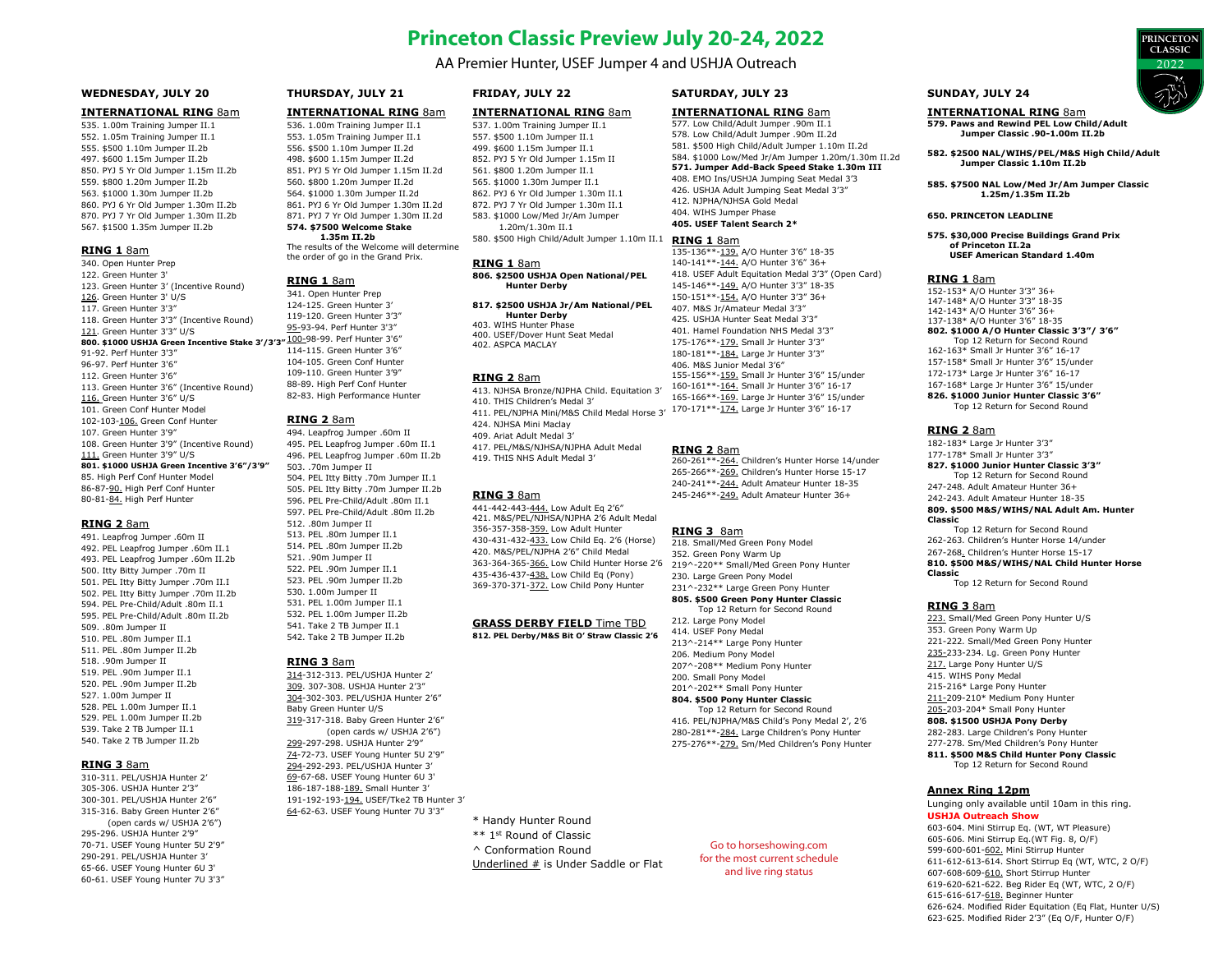# **Princeton Classic Preview July 20-24, 2022**

AA Premier Hunter, USEF Jumper 4 and USHJA Outreach

## **WEDNESDAY, JULY 20**

#### **INTERNATIONAL RING** 8am

535. 1.00m Training Jumper II.1 552. 1.05m Training Jumper II.1 555. \$500 1.10m Jumper II.2b 497. \$600 1.15m Jumper II.2b 850. PYJ 5 Yr Old Jumper 1.15m II.2b 559. \$800 1.20m Jumper II.2b 563. \$1000 1.30m Jumper II.2b 860. PYJ 6 Yr Old Jumper 1.30m II.2b 870. PYJ 7 Yr Old Jumper 1.30m II.2b 567. \$1500 1.35m Jumper II.2b

#### **RING 1** 8am

340. Open Hunter Prep 122. Green Hunter 3' 123. Green Hunter 3' (Incentive Round) 126. Green Hunter 3' U/S 117. Green Hunter 3'3" 118. Green Hunter 3'3" (Incentive Round) 121. Green Hunter 3'3" U/S **800. \$1000 USHJA Green Incentive Stake 3'/3'3"** 100-98-99. Perf Hunter 3'6" 91-92. Perf Hunter 3'3" 96-97. Perf Hunter 3'6" 112. Green Hunter 3'6" 113. Green Hunter 3'6" (Incentive Round) 116. Green Hunter 3'6" U/S 101. Green Conf Hunter Model 102-103-106. Green Conf Hunter 107. Green Hunter 3'9" 108. Green Hunter 3'9" (Incentive Round) 111. Green Hunter 3'9" U/S **801. \$1000 USHJA Green Incentive 3'6"/3'9"**  85. High Perf Conf Hunter Model 86-87-90. High Perf Conf Hunter 80-81-84. High Perf Hunter

#### **RING 2** 8am

491. Leapfrog Jumper .60m II 492. PEL Leapfrog Jumper .60m II.1 493. PEL Leapfrog Jumper .60m II.2b 500. Itty Bitty Jumper .70m II 501. PEL Itty Bitty Jumper .70m II.I 502. PEL Itty Bitty Jumper .70m II.2b 594. PEL Pre-Child/Adult .80m II.1 595. PEL Pre-Child/Adult .80m II.2b 509 .80m Jumper II 510. PEL .80m Jumper II.1 511. PEL .80m Jumper II.2b 518. .90m Jumper II 519. PEL .90m Jumper II.1 520. PEL 90m Jumper II.2b 527. 1.00m Jumper II 528. PEL 1.00m Jumper II.1 529. PEL 1.00m Jumper II.2b 539. Take 2 TB Jumper II.1 540. Take 2 TB Jumper II.2b

#### **RING 3** 8am

310-311. PEL/USHJA Hunter 2' 305-306. USHJA Hunter 2'3" 300-301. PEL/USHJA Hunter 2'6" 315-316. Baby Green Hunter 2'6" (open cards w/ USHJA 2'6") 295-296. USHJA Hunter 2'9" 70-71. USEF Young Hunter 5U 2'9" 290-291. PEL/USHJA Hunter 3' 65-66. USEF Young Hunter 6U 3' 60-61. USEF Young Hunter 7U 3'3"

#### **THURSDAY, JULY 21**

# **INTERNATIONAL RING** 8am

536. 1.00m Training Jumper II.1 553. 1.05m Training Jumper II.1 556. \$500 1.10m Jumper II.2d 498. \$600 1.15m Jumper II.2d 851. PYJ 5 Yr Old Jumper 1.15m II.2d 560. \$800 1.20m Jumper II.2d 564. \$1000 1.30m Jumper II.2d 861. PYJ 6 Yr Old Jumper 1.30m II.2d 871. PYJ 7 Yr Old Jumper 1.30m II.2d **574. \$7500 Welcome Stake** 

#### **1.35m II.2b**

The results of the Welcome will determine the order of go in the Grand Prix.

#### **RING 1** 8am

341. Open Hunter Prep 124-125. Green Hunter 3' 119-120. Green Hunter 3'3" 95-93-94. Perf Hunter 3'3" 114-115. Green Hunter 3'6" 104-105. Green Conf Hunter 109-110. Green Hunter 3'9" 88-89. High Perf Conf Hunter 82-83. High Performance Hunter

#### **RING 2** 8am

494. Leapfrog Jumper .60m II 495. PEL Leapfrog Jumper .60m II.1 496. PEL Leapfrog Jumper .60m II.2b 503. .70m Jumper II 504. PEL Itty Bitty .70m Jumper II.1 505. PEL Itty Bitty .70m Jumper II.2b 596. PEL Pre-Child/Adult .80m II.1 597. PEL Pre-Child/Adult .80m II.2b 512. .80m Jumper II 513. PEL .80m Jumper II.1 514. PEL .80m Jumper II.2b 521. 90m Jumper II 522. PEL .90m Jumper II.1 523. PEL .90m Jumper II.2b 530. 1.00m Jumper II 531. PEL 1.00m Jumper II.1 532. PEL 1.00m Jumper II.2b 541. Take 2 TB Jumper II.1 542. Take 2 TB Jumper II.2b

#### **RING 3** 8am

314-312-313. PEL/USHJA Hunter 2' 309. 307-308. USHJA Hunter 2'3" 304-302-303. PEL/USHJA Hunter 2'6" Baby Green Hunter U/S 319-317-318. Baby Green Hunter 2'6" (open cards w/ USHJA 2'6") 299-297-298. USHJA Hunter 2'9" 74-72-73. USEF Young Hunter 5U 2'9" 294-292-293. PEL/USHJA Hunter 3' 69-67-68. USEF Young Hunter 6U 3' 186-187-188-189. Small Hunter 3' 191-192-193-194. USEF/Tke2 TB Hunter 3' 64-62-63. USEF Young Hunter 7U 3'3"

# **FRIDAY, JULY 22**

# **INTERNATIONAL RING** 8am

537. 1.00m Training Jumper II.1 557. \$500 1.10m Jumper II.1 499. \$600 1.15m Jumper II.1 852. PYJ 5 Yr Old Jumper 1.15m II 561. \$800 1.20m Jumper II.1 565. \$1000 1.30m Jumper II.1 862. PYJ 6 Yr Old Jumper 1.30m II.1 872. PYJ 7 Yr Old Jumper 1.30m II.1 583. \$1000 Low/Med Jr/Am Jumper 1.20m/1.30m II.1

#### **RING 1** 8am

**806. \$2500 USHJA Open National/PEL Hunter Derby** 

#### **817. \$2500 USHJA Jr/Am National/PEL Hunter Derby**  403. WIHS Hunter Phase

402. ASPCA MACLAY

413. NJHSA Bronze/NJPHA Child. Equitation 3' 410. THIS Children's Medal 3' 411. PEL/NJPHA Mini/M&S Child Medal Horse 3' 424. NJHSA Mini Maclay 409. Ariat Adult Medal 3' 417. PEL/M&S/NJHSA/NJPHA Adult Medal 419. THIS NHS Adult Medal 3'

441-442-443-444. Low Adult Eq 2'6" 421. M&S/PEL/NJHSA/NJPHA 2'6 Adult Medal 356-357-358-359. Low Adult Hunter 430-431-432-433. Low Child Eq. 2'6 (Horse) 420. M&S/PEL/NJPHA 2'6" Child Medal 363-364-365-366. Low Child Hunter Horse 2'6 435-436-437-438. Low Child Eq (Pony) 369-370-371-372. Low Child Pony Hunter

\* Handy Hunter Round \*\* 1st Round of Classic

^ Conformation Round

Underlined # is Under Saddle or Flat

# **SATURDAY, JULY 23**

# **INTERNATIONAL RING 8am**

577. Low Child/Adult Jumper .90m II.1 578. Low Child/Adult Jumper .90m II.2d 581. \$500 High Child/Adult Jumper 1.10m II.2d 584. \$1000 Low/Med Jr/Am Jumper 1.20m/1.30m II.2d **571. Jumper Add-Back Speed Stake 1.30m III** 408. EMO Ins/USHJA Jumping Seat Medal 3'3 426. USHJA Adult Jumping Seat Medal 3'3" 412. NJPHA/NJHSA Gold Medal 404. WIHS Jumper Phase **405. USEF Talent Search 2\*** 

#### **RING 1** 8am

135-136\*\*-139. A/O Hunter 3'6" 18-35 140-141\*\*-144. A/O Hunter 3'6" 36+ 418. USEF Adult Equitation Medal 3'3" (Open Card) 145-146\*\*-149. A/O Hunter 3'3" 18-35 150-151\*\*-154. A/O Hunter 3'3" 36+ 407. M&S Jr/Amateur Medal 3'3" 425. USHJA Hunter Seat Medal 3'3" 401. Hamel Foundation NHS Medal 3'3" 175-176\*\*-179. Small Jr Hunter 3'3" 180-181\*\*-184. Large Jr Hunter 3'3" 406. M&S Junior Medal 3'6" 155-156\*\*-159. Small Jr Hunter 3'6" 15/under 160-161\*\*-164. Small Jr Hunter 3'6" 16-17 165-166\*\*-169. Large Jr Hunter 3'6" 15/under 170-171\*\*-174. Large Jr Hunter 3'6" 16-17

#### **RING 2** 8am

260-261\*\*-264. Children's Hunter Horse 14/under 265-266\*\*-269. Children's Hunter Horse 15-17 240-241\*\*-244. Adult Amateur Hunter 18-35 245-246\*\*-249. Adult Amateur Hunter 36+

### **RING 3** 8am

218. Small/Med Green Pony Model 352. Green Pony Warm Up 219^-220\*\* Small/Med Green Pony Hunter 230. Large Green Pony Model 231^-232\*\* Large Green Pony Hunter **805. \$500 Green Pony Hunter Classic** Top 12 Return for Second Round 212. Large Pony Model 414. USEF Pony Medal 213^-214\*\* Large Pony Hunter 206. Medium Pony Model 207^-208\*\* Medium Pony Hunter 200. Small Pony Model 201^-202\*\* Small Pony Hunter

#### **804. \$500 Pony Hunter Classic** Top 12 Return for Second Round

416. PEL/NJPHA/M&S Child's Pony Medal 2', 2'6 280-281\*\*-284. Large Children's Pony Hunter 275-276\*\*-279. Sm/Med Children's Pony Hunter

Go to horseshowing.com

### **SUNDAY, JULY 24**

#### **INTERNATIONAL RING** 8am

**579. Paws and Rewind PEL Low Child/Adult Jumper Classic .90-1.00m II.2b** 

**582. \$2500 NAL/WIHS/PEL/M&S High Child/Adult Jumper Classic 1.10m II.2b**

**585. \$7500 NAL Low/Med Jr/Am Jumper Classic 1.25m/1.35m II.2b**

#### **650. PRINCETON LEADLINE**

**575. \$30,000 Precise Buildings Grand Prix of Princeton II.2a USEF American Standard 1.40m**

#### **RING 1** 8am

152-153\* A/O Hunter 3'3" 36+ 147-148\* A/O Hunter 3'3" 18-35 142-143\* A/O Hunter 3'6" 36+ 137-138\* A/O Hunter 3'6" 18-35 **802. \$1000 A/O Hunter Classic 3'3"/ 3'6"** Top 12 Return for Second Round 162-163\* Small Jr Hunter 3'6" 16-17 157-158\* Small Jr Hunter 3'6" 15/under 172-173\* Large Jr Hunter 3'6" 16-17 167-168\* Large Jr Hunter 3'6" 15/under **826. \$1000 Junior Hunter Classic 3'6"** Top 12 Return for Second Round

#### **RING 2** 8am

182-183\* Large Jr Hunter 3'3" 177-178\* Small Jr Hunter 3'3" **827. \$1000 Junior Hunter Classic 3'3"** Top 12 Return for Second Round 247-248. Adult Amateur Hunter 36+ 242-243. Adult Amateur Hunter 18-35 **809. \$500 M&S/WIHS/NAL Adult Am. Hunter Classic** Top 12 Return for Second Round 262-263. Children's Hunter Horse 14/under

267-268. Children's Hunter Horse 15-17

**810. \$500 M&S/WIHS/NAL Child Hunter Horse Classic** Top 12 Return for Second Round

**RING 3** 8am 223. Small/Med Green Pony Hunter U/S 353. Green Pony Warm Up 221-222. Small/Med Green Pony Hunter 235-233-234. Lg. Green Pony Hunter 217. Large Pony Hunter U/S 415. WIHS Pony Medal 215-216\* Large Pony Hunter 211-209-210\* Medium Pony Hunter 205-203-204\* Small Pony Hunter **808. \$1500 USHJA Pony Derby**  282-283. Large Children's Pony Hunter

277-278. Sm/Med Children's Pony Hunter **811. \$500 M&S Child Hunter Pony Classic** Top 12 Return for Second Round

# **Annex Ring 12pm**

Lunging only available until 10am in this ring. **USHJA Outreach Show**

603-604. Mini Stirrup Eq. (WT, WT Pleasure) 605-606. Mini Stirrup Eq.(WT Fig. 8, O/F) 599-600-601-602. Mini Stirrup Hunter 611-612-613-614. Short Stirrup Eq (WT, WTC, 2 O/F) 607-608-609-610. Short Stirrup Hunter 619-620-621-622. Beg Rider Eq (WT, WTC, 2 O/F) 615-616-617-618. Beginner Hunter 626-624. Modified Rider Equitation (Eq Flat, Hunter U/S)

623-625. Modified Rider 2'3" (Eq O/F, Hunter O/F)



580. \$500 High Child/Adult Jumper 1.10m II.1

400. USEF/Dover Hunt Seat Medal

#### **RING 2** 8am

# **RING 3** 8am

#### **GRASS DERBY FIELD** Time TBD **812. PEL Derby/M&S Bit O' Straw Classic 2'6**

for the most current schedule and live ring status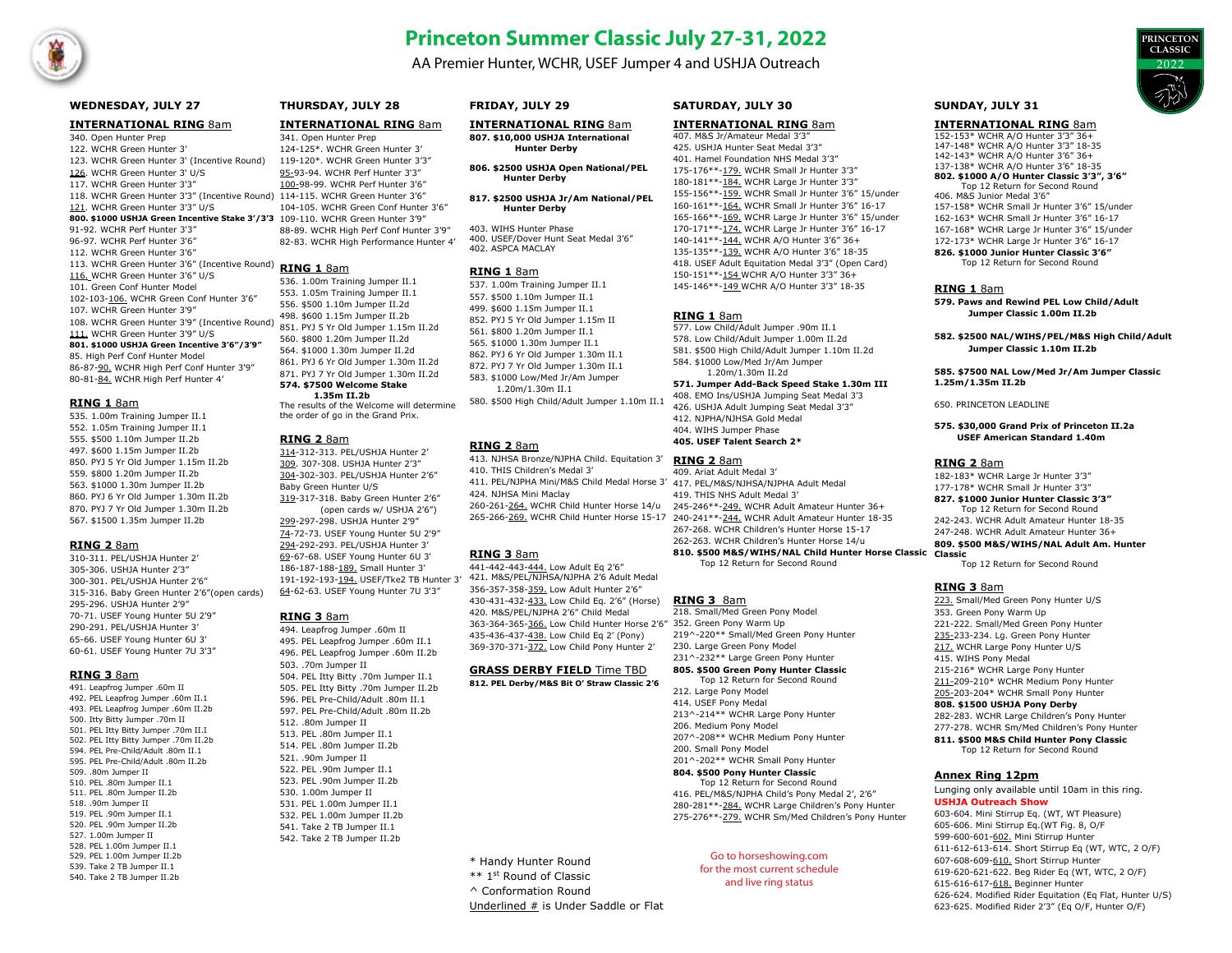

# **Princeton Summer Classic July 27-31, 2022**

AA Premier Hunter, WCHR, USEF Jumper 4 and USHJA Outreach



### **WEDNESDAY, JULY 27**

#### **INTERNATIONAL RING** 8am

340. Open Hunter Prep 122. WCHR Green Hunter 3' 123. WCHR Green Hunter 3' (Incentive Round) 126. WCHR Green Hunter 3' U/S 117. WCHR Green Hunter 3'3" 118. WCHR Green Hunter 3'3" (Incentive Round) 114-115. WCHR Green Hunter 3'6" 121. WCHR Green Hunter 3'3" U/S **800. \$1000 USHJA Green Incentive Stake 3'/3'3**  109-110. WCHR Green Hunter 3'9" 91-92. WCHR Perf Hunter 3'3" 96-97. WCHR Perf Hunter 3'6" 112. WCHR Green Hunter 3'6" 113. WCHR Green Hunter 3'6" (Incentive Round) 116. WCHR Green Hunter 3'6" U/S 101. Green Conf Hunter Model 102-103-106. WCHR Green Conf Hunter 3'6" 107. WCHR Green Hunter 3'9" 108. WCHR Green Hunter 3'9" (Incentive Round) 111. WCHR Green Hunter 3'9" U/S **801. \$1000 USHJA Green Incentive 3'6"/3'9"**  85. High Perf Conf Hunter Model 86-87-90. WCHR High Perf Conf Hunter 3'9" 80-81-84. WCHR High Perf Hunter 4'

#### **RING 1** 8am

535. 1.00m Training Jumper II.1 552. 1.05m Training Jumper II.1 555. \$500 1.10m Jumper II.2b 497. \$600 1.15m Jumper II.2b 850. PYJ 5 Yr Old Jumper 1.15m II.2b 559. \$800 1.20m Jumper II.2b 563. \$1000 1.30m Jumper II.2b 860. PYJ 6 Yr Old Jumper 1.30m II.2b 870. PYJ 7 Yr Old Jumper 1.30m II.2b 567. \$1500 1.35m Jumper II.2b

### **RING 2** 8am

310-311. PEL/USHJA Hunter 2' 305-306. USHJA Hunter 2'3" 300-301. PEL/USHJA Hunter 2'6" 315-316. Baby Green Hunter 2'6"(open cards) 295-296. USHJA Hunter 2'9" 70-71. USEF Young Hunter 5U 2'9" 290-291. PEL/USHJA Hunter 3' 65-66. USEF Young Hunter 6U 3' 60-61. USEF Young Hunter 7U 3'3"

#### **RING 3** 8am

491. Leapfrog Jumper .60m II 492. PEL Leapfrog Jumper .60m II.1 493. PEL Leapfrog Jumper, 60m II.2b 500. Itty Bitty Jumper .70m II 501. PEL Itty Bitty Jumper .70m II.I 502. PEL Itty Bitty Jumper .70m II.2b 594. PEL Pre-Child/Adult .80m II.1 595. PEL Pre-Child/Adult .80m II.2b 509. .80m Jumper II 510. PEL. 80m Jumper II.1 511. PEL .80m Jumper II.2b 518 90m Jumper II 519. PEL. 90m Jumper II.1 520. PEL .90m Jumper II.2b 527. 1.00m Jumper II 528. PEL 1.00m Jumper II.1 529. PEL 1.00m Jumper II.2b 539. Take 2 TB Jumper II.1 540. Take 2 TB Jumper II.2b

# **THURSDAY, JULY 28**

# **INTERNATIONAL RING** 8am

341. Open Hunter Prep 124-125\*. WCHR Green Hunter 3' 119-120\*. WCHR Green Hunter 3'3" 95-93-94. WCHR Perf Hunter 3'3" 100-98-99. WCHR Perf Hunter 3'6" 104-105. WCHR Green Conf Hunter 3'6" 88-89. WCHR High Perf Conf Hunter 3'9" 82-83. WCHR High Performance Hunter 4'

# **RING 1** 8am

536. 1.00m Training Jumper II.1 553. 1.05m Training Jumper II.1 556. \$500 1.10m Jumper II.2d 498. \$600 1.15m Jumper II.2b 851. PYJ 5 Yr Old Jumper 1.15m II.2d 560. \$800 1.20m Jumper II.2d 564. \$1000 1.30m Jumper II.2d 861. PYJ 6 Yr Old Jumper 1.30m II.2d 871. PYJ 7 Yr Old Jumper 1.30m II.2d **574. \$7500 Welcome Stake** 

# **1.35m II.2b**

The results of the Welcome will determine the order of go in the Grand Prix.

#### **RING 2** 8am

314-312-313. PEL/USHJA Hunter 2' 309. 307-308. USHJA Hunter 2'3" 304-302-303. PEL/USHJA Hunter 2'6" Baby Green Hunter U/S 319-317-318. Baby Green Hunter 2'6" (open cards w/ USHJA 2'6") 299-297-298. USHJA Hunter 2'9"

74-72-73. USEF Young Hunter 5U 2'9" 294-292-293. PEL/USHJA Hunter 3' 69-67-68. USEF Young Hunter 6U 3' 186-187-188-189. Small Hunter 3' 191-192-193-194. USEF/Tke2 TB Hunter 3' 64-62-63. USEF Young Hunter 7U 3'3"

# **RING 3** 8am

494. Leapfrog Jumper .60m II 495. PEL Leapfrog Jumper .60m II.1 496. PEL Leapfrog Jumper .60m II.2b  $503$   $70m$  Jumper II 504. PEL Itty Bitty .70m Jumper II.1 505. PEL Itty Bitty .70m Jumper II.2b 596. PEL Pre-Child/Adult .80m II.1 597. PEL Pre-Child/Adult .80m II.2b 512 80m Jumper II 513. PEL .80m Jumper II.1 514. PEL .80m Jumper II.2b 521. .90m Jumper II 522. PEL .90m Jumper II.1 523. PEL .90m Jumper II.2b 530. 1.00m Jumper II 531. PEL 1.00m Jumper II.1 532. PEL 1.00m Jumper II.2b 541. Take 2 TB Jumper II.1 542. Take 2 TB Jumper II.2b

# WCHR PRINCETON SUMMER CLASSIC 2022 **FRIDAY, JULY 29**

#### **INTERNATIONAL RING** 8am **807. \$10,000 USHJA International**

 **Hunter Derby**

- **806. \$2500 USHJA Open National/PEL Hunter Derby**
- **817. \$2500 USHJA Jr/Am National/PEL Hunter Derby**

403. WIHS Hunter Phase 400. USEF/Dover Hunt Seat Medal 3'6" 402. ASPCA MACLAY

### **RING 1** 8am

537. 1.00m Training Jumper II.1 557. \$500 1.10m Jumper II.1 499. \$600 1.15m Jumper II.1 852. PYJ 5 Yr Old Jumper 1.15m II 561. \$800 1.20m Jumper II.1 565. \$1000 1.30m Jumper II.1 862. PYJ 6 Yr Old Jumper 1.30m II.1 872. PYJ 7 Yr Old Jumper 1.30m II.1 583. \$1000 Low/Med Jr/Am Jumper 1.20m/1.30m II.1 580. \$500 High Child/Adult Jumper 1.10m II.1

# **RING 2** 8am

413. NJHSA Bronze/NJPHA Child. Equitation 3' 410. THIS Children's Medal 3' 411. PEL/NJPHA Mini/M&S Child Medal Horse 3' 417. PEL/M&S/NJHSA/NJPHA Adult Medal 424. NJHSA Mini Maclay 260-261-264. WCHR Child Hunter Horse 14/u

# **RING 3** 8am

441-442-443-444. Low Adult Eq 2'6" 421. M&S/PEL/NJHSA/NJPHA 2'6 Adult Medal 356-357-358-359. Low Adult Hunter 2'6" 430-431-432-433. Low Child Eq. 2'6" (Horse) 420. M&S/PEL/NJPHA 2'6" Child Medal 363-364-365-366. Low Child Hunter Horse 2'6" 352. Green Pony Warm Up 435-436-437-438. Low Child Eq 2' (Pony) 369-370-371-372. Low Child Pony Hunter 2'

# **GRASS DERBY FIELD** Time TBD

**812. PEL Derby/M&S Bit O' Straw Classic 2'6** 

**SATURDAY, JULY 30**

#### **INTERNATIONAL RING** 8am 407. M&S Jr/Amateur Medal 3'3"

425. USHJA Hunter Seat Medal 3'3" 401. Hamel Foundation NHS Medal 3'3" 175-176\*\*-179. WCHR Small Jr Hunter 3'3" 180-181\*\*-184. WCHR Large Jr Hunter 3'3" 155-156\*\*-159. WCHR Small Jr Hunter 3'6" 15/under 160-161\*\*-164. WCHR Small Jr Hunter 3'6" 16-17 165-166\*\*-169. WCHR Large Jr Hunter 3'6" 15/under 170-171\*\*-174. WCHR Large Jr Hunter 3'6" 16-17 140-141\*\*-144. WCHR A/O Hunter 3'6" 36+ 135-135\*\*-139. WCHR A/O Hunter 3'6" 18-35 418. USEF Adult Equitation Medal 3'3" (Open Card) 150-151\*\*-154 WCHR A/O Hunter 3'3" 36+ 145-146\*\*-149 WCHR A/O Hunter 3'3" 18-35

# **RING 1** 8am

577. Low Child/Adult Jumper .90m II.1 578. Low Child/Adult Jumper 1.00m II.2d 581. \$500 High Child/Adult Jumper 1.10m II.2d 584. \$1000 Low/Med Jr/Am Jumper 1.20m/1.30m II.2d

# **571. Jumper Add-Back Speed Stake 1.30m III**

408. EMO Ins/USHJA Jumping Seat Medal 3'3 426. USHJA Adult Jumping Seat Medal 3'3" 412. NJPHA/NJHSA Gold Medal 404. WIHS Jumper Phase **405. USEF Talent Search 2\*** 

# **RING 2** 8am

265-266-269. WCHR Child Hunter Horse 15-17 240-241\*\*-244. WCHR Adult Amateur Hunter 18-35 409. Ariat Adult Medal 3' 419. THIS NHS Adult Medal 3' 245-246\*\*-249. WCHR Adult Amateur Hunter 36+ 267-268. WCHR Children's Hunter Horse 15-17 262-263. WCHR Children's Hunter Horse 14/u **810. \$500 M&S/WIHS/NAL Child Hunter Horse Classic**

Top 12 Return for Second Round

# **RING 3** 8am

218. Small/Med Green Pony Model 219^-220\*\* Small/Med Green Pony Hunter 230. Large Green Pony Model 231^-232\*\* Large Green Pony Hunter **805. \$500 Green Pony Hunter Classic** Top 12 Return for Second Round 212. Large Pony Model 414. USEF Pony Medal 213^-214\*\* WCHR Large Pony Hunter 206. Medium Pony Model 207^-208\*\* WCHR Medium Pony Hunter 200. Small Pony Model 201^-202\*\* WCHR Small Pony Hunter **804. \$500 Pony Hunter Classic** Top 12 Return for Second Round 416. PEL/M&S/NJPHA Child's Pony Medal 2', 2'6" 280-281\*\*-284. WCHR Large Children's Pony Hunter

275-276\*\*-279. WCHR Sm/Med Children's Pony Hunter

Go to horseshowing.com for the most current schedule and live ring status

# **SUNDAY, JULY 31**

**INTERNATIONAL RING** 8am

152-153\* WCHR A/O Hunter 3'3" 36+ 147-148\* WCHR A/O Hunter 3'3" 18-35 142-143\* WCHR A/O Hunter 3'6" 36+ 137-138\* WCHR A/O Hunter 3'6" 18-35 **802. \$1000 A/O Hunter Classic 3'3", 3'6"** Top 12 Return for Second Round 406. M&S Junior Medal 3'6" 157-158\* WCHR Small Jr Hunter 3'6" 15/under 162-163\* WCHR Small Jr Hunter 3'6" 16-17 167-168\* WCHR Large Jr Hunter 3'6" 15/under 172-173\* WCHR Large Jr Hunter 3'6" 16-17 **826. \$1000 Junior Hunter Classic 3'6"**

Top 12 Return for Second Round

#### **RING 1** 8am

**579. Paws and Rewind PEL Low Child/Adult Jumper Classic 1.00m II.2b** 

**582. \$2500 NAL/WIHS/PEL/M&S High Child/Adult Jumper Classic 1.10m II.2b**

**585. \$7500 NAL Low/Med Jr/Am Jumper Classic 1.25m/1.35m II.2b**

650. PRINCETON LEADLINE

#### **575. \$30,000 Grand Prix of Princeton II.2a USEF American Standard 1.40m**

### **RING 2** 8am

182-183\* WCHR Large Jr Hunter 3'3" 177-178\* WCHR Small Jr Hunter 3'3" **827. \$1000 Junior Hunter Classic 3'3"** Top 12 Return for Second Round 242-243. WCHR Adult Amateur Hunter 18-35 247-248. WCHR Adult Amateur Hunter 36+ **809. \$500 M&S/WIHS/NAL Adult Am. Hunter Classic**

Top 12 Return for Second Round

# **RING 3** 8am

223. Small/Med Green Pony Hunter U/S 353. Green Pony Warm Up 221-222. Small/Med Green Pony Hunter 235-233-234. Lg. Green Pony Hunter 217. WCHR Large Pony Hunter U/S 415. WIHS Pony Medal 215-216\* WCHR Large Pony Hunter 211-209-210\* WCHR Medium Pony Hunter 205-203-204\* WCHR Small Pony Hunter **808. \$1500 USHJA Pony Derby**  282-283. WCHR Large Children's Pony Hunter

277-278. WCHR Sm/Med Children's Pony Hunter **811. \$500 M&S Child Hunter Pony Classic** Top 12 Return for Second Round

# **Annex Ring 12pm**

Lunging only available until 10am in this ring. **USHJA Outreach Show**

603-604. Mini Stirrup Eq. (WT, WT Pleasure) 605-606. Mini Stirrup Eq.(WT Fig. 8, O/F 599-600-601-602. Mini Stirrup Hunter 611-612-613-614. Short Stirrup Eq (WT, WTC, 2 O/F) 607-608-609-610. Short Stirrup Hunter 619-620-621-622. Beg Rider Eq (WT, WTC, 2 O/F) 615-616-617-618. Beginner Hunter 626-624. Modified Rider Equitation (Eq Flat, Hunter U/S) 623-625. Modified Rider 2'3" (Eq O/F, Hunter O/F)

\* Handy Hunter Round

- \*\* 1st Round of Classic
- ^ Conformation Round

Underlined # is Under Saddle or Flat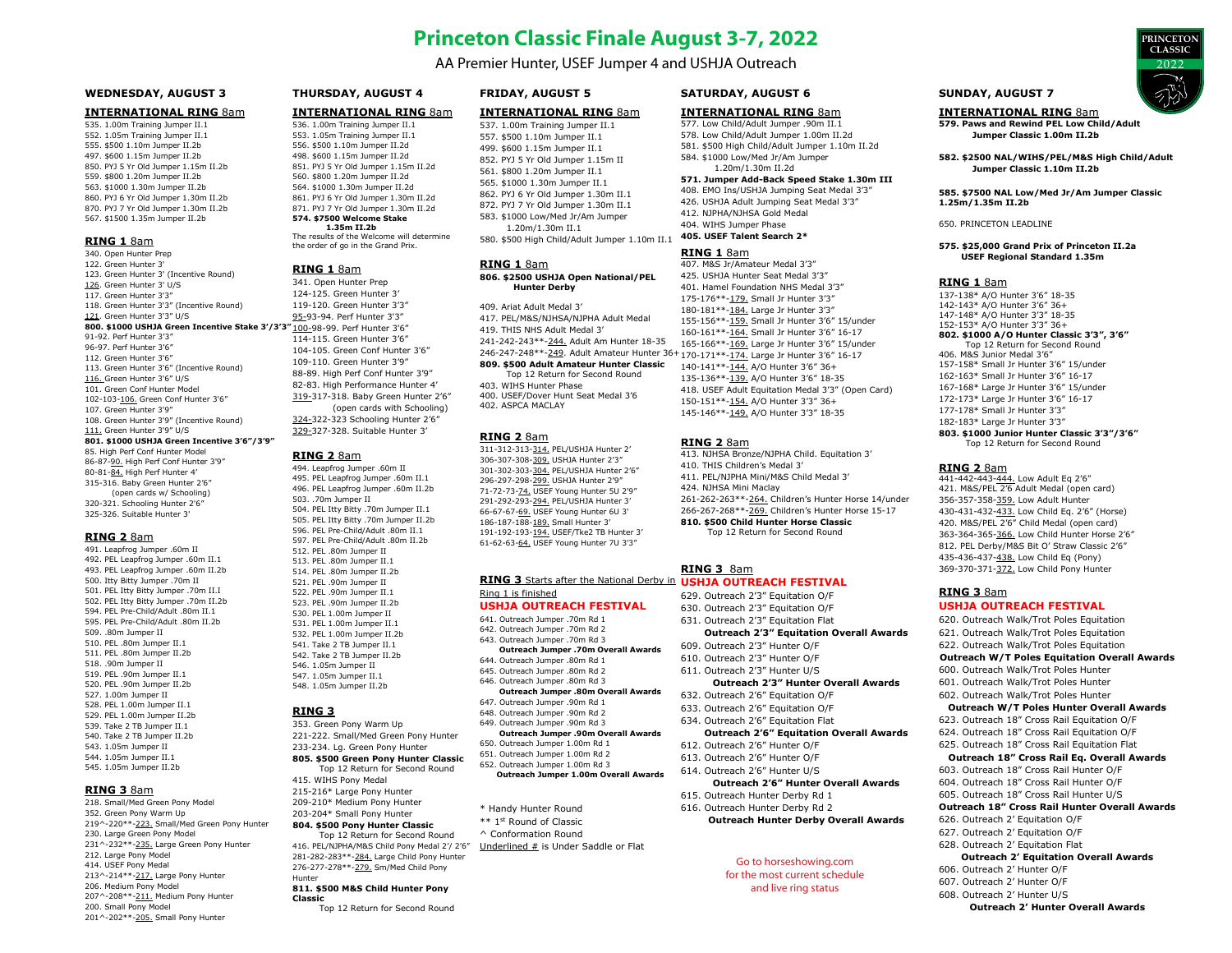# **Princeton Classic Finale August 3-7, 2022**

AA Premier Hunter, USEF Jumper 4 and USHJA Outreach

# **WEDNESDAY, AUGUST 3**

#### **INTERNATIONAL RING** 8am

535. 1.00m Training Jumper II.1 552. 1.05m Training Jumper II.1 555. \$500 1.10m Jumper II.2b 497. \$600 1.15m Jumper II.2b 850. PYJ 5 Yr Old Jumper 1.15m II.2b 559. \$800 1.20m Jumper II.2b 563. \$1000 1.30m Jumper II.2b 860. PYJ 6 Yr Old Jumper 1.30m II.2b 870. PYJ 7 Yr Old Jumper 1.30m II.2b 567. \$1500 1.35m Jumper II.2b

#### **RING 1** 8am

340. Open Hunter Prep 122. Green Hunter 3' 123. Green Hunter 3' (Incentive Round) 126. Green Hunter 3' U/S 117. Green Hunter 3'3" 118. Green Hunter 3'3" (Incentive Round) 121. Green Hunter 3'3" U/S **800. \$1000 USHJA Green Incentive Stake 3'/3'3"** 100-98-99. Perf Hunter 3'6" 91-92. Perf Hunter 3'3" 96-97. Perf Hunter 3'6" 112. Green Hunter 3'6" 113. Green Hunter 3'6" (Incentive Round) 116. Green Hunter 3'6" U/S 101. Green Conf Hunter Model 102-103-106. Green Conf Hunter 3'6" 107. Green Hunter 3'9" 108. Green Hunter 3'9" (Incentive Round) 111. Green Hunter 3'9" U/S **801. \$1000 USHJA Green Incentive 3'6"/3'9"**  85. High Perf Conf Hunter Model 86-87-90. High Perf Conf Hunter 3'9" 80-81-84. High Perf Hunter 4' 315-316. Baby Green Hunter 2'6" (open cards w/ Schooling) 320-321. Schooling Hunter 2'6" 325-326. Suitable Hunter 3'

#### **RING 2** 8am

491. Leapfrog Jumper .60m II 492. PEL Leapfrog Jumper .60m II.1 493. PEL Leapfrog Jumper, 60m II.2b 500. Itty Bitty Jumper .70m II 501. PEL Itty Bitty Jumper .70m II.I 502. PEL Itty Bitty Jumper .70m II.2b 594. PEL Pre-Child/Adult .80m II.1 595. PEL Pre-Child/Adult .80m II.2b 509. .80m Jumper II 510. PEL .80m Jumper II.1 511. PEL. 80m Jumper II. 2b 518. .90m Jumper II 519. PEL .90m Jumper II.1 520. PEL. 90m Jumper II.2b 527. 1.00m Jumper II 528. PEL 1.00m Jumper II.1 529. PEL 1.00m Jumper II.2b 539. Take 2 TB Jumper II.1 540. Take 2 TB Jumper II.2b 543. 1.05m Jumper II 544. 1.05m Jumper II.1 545. 1.05m Jumper II.2b

# **RING 3** 8am

218. Small/Med Green Pony Model 352. Green Pony Warm Up 219^-220\*\*-223. Small/Med Green Pony Hunter 230. Large Green Pony Model 231^-232\*\*-235. Large Green Pony Hunter 212. Large Pony Model 414. USEF Pony Medal 213^-214\*\*-217. Large Pony Hunter 206. Medium Pony Model 207^-208\*\*-211. Medium Pony Hunter 200. Small Pony Model 201^-202\*\*-205. Small Pony Hunter

# **THURSDAY, AUGUST 4**

# **INTERNATIONAL RING** 8am

536. 1.00m Training Jumper II.1 553. 1.05m Training Jumper II.1 556. \$500 1.10m Jumper II.2d 498. \$600 1.15m Jumper II.2d 851. PYJ 5 Yr Old Jumper 1.15m II.2d 560. \$800 1.20m Jumper II.2d 564. \$1000 1.30m Jumper II.2d 861. PYJ 6 Yr Old Jumper 1.30m II.2d 871. PYJ 7 Yr Old Jumper 1.30m II.2d **574. \$7500 Welcome Stake 1.35m II.2b**  The results of the Welcome will determine

the order of go in the Grand Prix.

#### **RING 1** 8am

341. Open Hunter Prep 124-125. Green Hunter 3' 119-120. Green Hunter 3'3" 95-93-94. Perf Hunter 3'3" 114-115. Green Hunter 3'6" 104-105. Green Conf Hunter 3'6" 109-110. Green Hunter 3'9" 88-89. High Perf Conf Hunter 3'9" 82-83. High Performance Hunter 4' 319-317-318. Baby Green Hunter 2'6" (open cards with Schooling) 324-322-323 Schooling Hunter 2'6" 329-327-328. Suitable Hunter 3'

#### **RING 2** 8am

494. Leapfrog Jumper .60m II 495. PEL Leapfrog Jumper .60m II.1 496. PEL Leapfrog Jumper .60m II.2b 503. .70m Jumper II 504. PEL Itty Bitty .70m Jumper II.1 505. PEL Itty Bitty .70m Jumper II.2b 596. PEL Pre-Child/Adult .80m II.1 597. PEL Pre-Child/Adult .80m II.2b 512. PEL .80m Jumper II 513. PEL .80m Jumper II.1 514. PEL .80m Jumper II.2b 521. PEL .90m Jumper II 522. PEL .90m Jumper II.1 523. PEL .90m Jumper II.2b 530. PEL 1.00m Jumper II 531. PEL 1.00m Jumper II.1 532. PEL 1.00m Jumper II.2b 541. Take 2 TB Jumper II.1 542. Take 2 TB Jumper II.2b 546. 1.05m Jumper II 547. 1.05m Jumper II.1 548. 1.05m Jumper II.2b

# **RING 3**

**Classic**

353. Green Pony Warm Up 221-222. Small/Med Green Pony Hunter 233-234. Lg. Green Pony Hunter **805. \$500 Green Pony Hunter Classic** Top 12 Return for Second Round

# 415. WIHS Pony Medal

215-216\* Large Pony Hunter 209-210\* Medium Pony Hunter 203-204\* Small Pony Hunter

#### **804. \$500 Pony Hunter Classic** Top 12 Return for Second Round

416. PEL/NJPHA/M&S Child Pony Medal 2'/ 2'6" 281-282-283\*\*-284. Large Child Pony Hunter 276-277-278\*\*-279. Sm/Med Child Pony Hunter

#### **811. \$500 M&S Child Hunter Pony**

Top 12 Return for Second Round

# **FRIDAY, AUGUST 5**

#### **INTERNATIONAL RING** 8am

537. 1.00m Training Jumper II.1 557. \$500 1.10m Jumper II.1 499. \$600 1.15m Jumper II.1 852. PYJ 5 Yr Old Jumper 1.15m II 561. \$800 1.20m Jumper II.1 565. \$1000 1.30m Jumper II.1 862. PYJ 6 Yr Old Jumper 1.30m II.1 872. PYJ 7 Yr Old Jumper 1.30m II.1 583. \$1000 Low/Med Jr/Am Jumper 1.20m/1.30m II.1 580. \$500 High Child/Adult Jumper 1.10m II.1

#### **RING 1** 8am

**806. \$2500 USHJA Open National/PEL Hunter Derby** 

409. Ariat Adult Medal 3' 417. PEL/M&S/NJHSA/NJPHA Adult Medal 419. THIS NHS Adult Medal 3' 241-242-243\*\*-244. Adult Am Hunter 18-35 246-247-248\*\*-<u>249</u>. Adult Amateur Hunter 36+170-171\*\*-<u>174.</u> Large Jr Hunter 3'6" 16-17 **809. \$500 Adult Amateur Hunter Classic** Top 12 Return for Second Round 403. WIHS Hunter Phase 400. USEF/Dover Hunt Seat Medal 3'6

402. ASPCA MACLAY

#### **RING 2** 8am

311-312-313-314. PEL/USHJA Hunter 2' 306-307-308-309. USHJA Hunter 2'3" 301-302-303-304. PEL/USHJA Hunter 2'6" 296-297-298-299. USHJA Hunter 2'9" 71-72-73-74. USEF Young Hunter 5U 2'9" 291-292-293-294. PEL/USHJA Hunter 3' 66-67-67-69. USEF Young Hunter 6U 3' 186-187-188-189. Small Hunter 3' 191-192-193-194. USEF/Tke2 TB Hunter 3' 61-62-63-64. USEF Young Hunter 7U 3'3"

# **RING 3** Starts after the National Derby in **USHJA OUTREACH FESTIVAL** Ring 1 is finished

#### **USHJA OUTREACH FESTIVAL** 641. Outreach Jumper .70m Rd 1

642. Outreach Jumper .70m Rd 2 643. Outreach Jumper .70m Rd 3

- **Outreach Jumper .70m Overall Awards**
- 644. Outreach Jumper .80m Rd 1
- 645. Outreach Jumper .80m Rd 2
- 646. Outreach Jumper .80m Rd 3 **Outreach Jumper .80m Overall Awards**
- 647. Outreach Jumper .90m Rd 1
- 648. Outreach Jumper, 90m Rd 2
- 649. Outreach Jumper .90m Rd 3
- **Outreach Jumper .90m Overall Awards** 650. Outreach Jumper 1.00m Rd 1
- 651. Outreach Jumper 1.00m Rd 2
- 652. Outreach Jumper 1.00m Rd 3 **Outreach Jumper 1.00m Overall Awards**
- 
- \* Handy Hunter Round
- \*\* 1st Round of Classic
- ^ Conformation Round Underlined # is Under Saddle or Flat

# **SATURDAY, AUGUST 6**

#### **INTERNATIONAL RING** 8am 577. Low Child/Adult Jumper .90m II.1

578. Low Child/Adult Jumper 1.00m II.2d 581. \$500 High Child/Adult Jumper 1.10m II.2d 584. \$1000 Low/Med Jr/Am Jumper 1.20m/1.30m II.2d

#### **571. Jumper Add-Back Speed Stake 1.30m III**

408. EMO Ins/USHJA Jumping Seat Medal 3'3" 426. USHJA Adult Jumping Seat Medal 3'3" 412. NJPHA/NJHSA Gold Medal 404. WIHS Jumper Phase

**405. USEF Talent Search 2\*** 

# **RING 1** 8am

407. M&S Jr/Amateur Medal 3'3" 425. USHJA Hunter Seat Medal 3'3" 401. Hamel Foundation NHS Medal 3'3" 175-176\*\*-179. Small Jr Hunter 3'3" 180-181\*\*-184. Large Jr Hunter 3'3" 155-156\*\*-159. Small Jr Hunter 3'6" 15/under 160-161\*\*-164. Small Jr Hunter 3'6" 16-17 165-166\*\*-169. Large Jr Hunter 3'6" 15/under 140-141\*\*-144. A/O Hunter 3'6" 36+ 135-136\*\*-139. A/O Hunter 3'6" 18-35 418. USEF Adult Equitation Medal 3'3" (Open Card) 150-151\*\*-154. A/O Hunter 3'3" 36+ 145-146\*\*-149. A/O Hunter 3'3" 18-35

#### **RING 2** 8am

413. NJHSA Bronze/NJPHA Child. Equitation 3' 410. THIS Children's Medal 3' 411. PEL/NJPHA Mini/M&S Child Medal 3' 424. NJHSA Mini Maclay 261-262-263\*\*-264. Children's Hunter Horse 14/under 266-267-268\*\*-269. Children's Hunter Horse 15-17 **810. \$500 Child Hunter Horse Classic** Top 12 Return for Second Round

# **RING 3** 8am

629. Outreach 2'3" Equitation O/F 630. Outreach 2'3" Equitation O/F 631. Outreach 2'3" Equitation Flat **Outreach 2'3" Equitation Overall Awards** 609. Outreach 2'3" Hunter O/F 610. Outreach 2'3" Hunter O/F 611. Outreach 2'3" Hunter U/S **Outreach 2'3" Hunter Overall Awards** 632. Outreach 2'6" Equitation O/F 633. Outreach 2'6" Equitation O/F 634. Outreach 2'6" Equitation Flat **Outreach 2'6" Equitation Overall Awards** 612. Outreach 2'6" Hunter O/F 613. Outreach 2'6" Hunter O/F 614. Outreach 2'6" Hunter U/S **Outreach 2'6" Hunter Overall Awards** 615. Outreach Hunter Derby Rd 1 616. Outreach Hunter Derby Rd 2 **Outreach Hunter Derby Overall Awards**

# Go to horseshowing.com

for the most current schedule and live ring status

# **SUNDAY, AUGUST 7**

**INTERNATIONAL RING** 8am **579. Paws and Rewind PEL Low Child/Adult** 

**Jumper Classic 1.00m II.2b** 

**582. \$2500 NAL/WIHS/PEL/M&S High Child/Adult Jumper Classic 1.10m II.2b**

**PRINCETON CLASSIC** 2022

#### **585. \$7500 NAL Low/Med Jr/Am Jumper Classic 1.25m/1.35m II.2b**

#### 650. PRINCETON LEADLINE

#### **575. \$25,000 Grand Prix of Princeton II.2a USEF Regional Standard 1.35m**

#### **RING 1** 8am

137-138\* A/O Hunter 3'6" 18-35 142-143\* A/O Hunter 3'6" 36+ 147-148\* A/O Hunter 3'3" 18-35 152-153\* A/O Hunter 3'3" 36+ **802. \$1000 A/O Hunter Classic 3'3", 3'6"** Top 12 Return for Second Round 406. M&S Junior Medal 3'6" 157-158\* Small Jr Hunter 3'6" 15/under 162-163\* Small Jr Hunter 3'6" 16-17 167-168\* Large Jr Hunter 3'6" 15/under 172-173\* Large Jr Hunter 3'6" 16-17 177-178\* Small Jr Hunter 3'3" 182-183\* Large Jr Hunter 3'3"

**803. \$1000 Junior Hunter Classic 3'3"/3'6"** Top 12 Return for Second Round

### **RING 2** 8am

441-442-443-444. Low Adult Eq 2'6" 421. M&S/PEL 2'6 Adult Medal (open card) 356-357-358-359. Low Adult Hunter 430-431-432-433. Low Child Eq. 2'6" (Horse) 420. M&S/PEL 2'6" Child Medal (open card) 363-364-365-366. Low Child Hunter Horse 2'6" 812. PEL Derby/M&S Bit O' Straw Classic 2'6" 435-436-437-438. Low Child Eq (Pony) 369-370-371-372. Low Child Pony Hunter

# **RING 3** 8am

# **USHJA OUTREACH FESTIVAL**

- 620. Outreach Walk/Trot Poles Equitation 621. Outreach Walk/Trot Poles Equitation
- 622. Outreach Walk/Trot Poles Equitation

#### **Outreach W/T Poles Equitation Overall Awards**

- 600. Outreach Walk/Trot Poles Hunter
- 601. Outreach Walk/Trot Poles Hunter
- 602. Outreach Walk/Trot Poles Hunter

#### **Outreach W/T Poles Hunter Overall Awards**

- 623. Outreach 18" Cross Rail Equitation O/F
- 624. Outreach 18" Cross Rail Equitation O/F
- 625. Outreach 18" Cross Rail Equitation Flat

### **Outreach 18" Cross Rail Eq. Overall Awards**

- 603. Outreach 18" Cross Rail Hunter O/F
- 604. Outreach 18" Cross Rail Hunter O/F
- 605. Outreach 18" Cross Rail Hunter U/S

# **Outreach 18" Cross Rail Hunter Overall Awards**

626. Outreach 2' Equitation O/F

606. Outreach 2' Hunter O/F 607. Outreach 2' Hunter O/F 608. Outreach 2' Hunter U/S

- 627. Outreach 2' Equitation O/F
- 628. Outreach 2' Equitation Flat

#### **Outreach 2' Equitation Overall Awards**

**Outreach 2' Hunter Overall Awards**